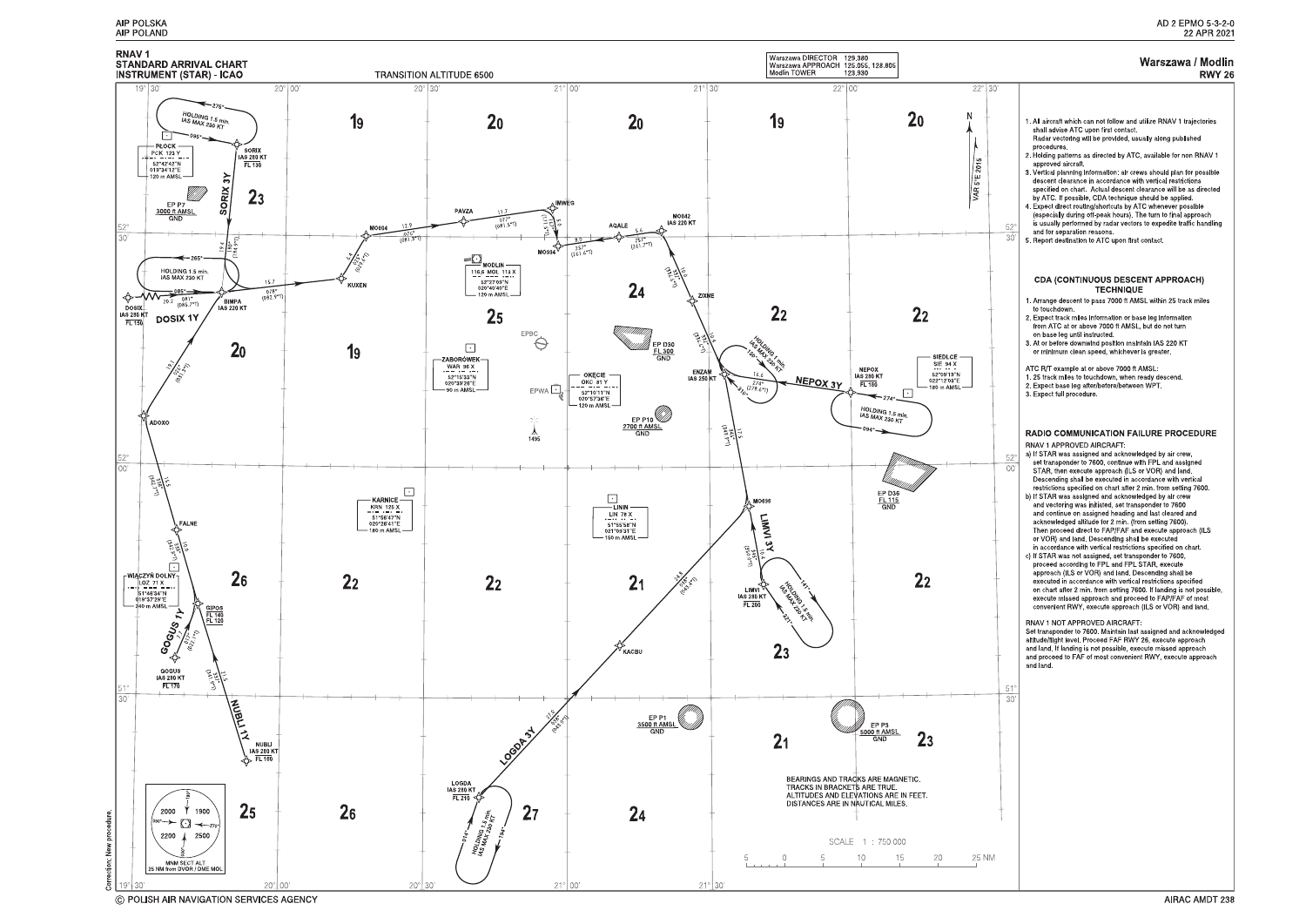



<sup>©</sup> POLISH AIR NAVIGATION SERVICES AGENCY

#### Warszawa / Modlin **RWY 26**

| 30'<br>$52^\circ$<br>30 | 1. All aircraft which can not follow and utilize RNAV 1 trajectories<br>shall advise ATC upon first contact.<br>Radar vectoring will be provided, usually along published<br>procedures.<br>2. Holding patterns as directed by ATC, available for non RNAV 1<br>approved aircraft.<br>3. Vertical planning information: air crews should plan for possible<br>descent clearance in accordance with vertical restrictions<br>specified on chart Actual descent clearance will be as directed<br>by ATC. If possible, CDA technique should be applied.<br>4 Expect direct routing/shortcuts by ATC whenever possible<br>(especially during off-peak hours). The turn to final approach<br>is usually performed by radar vectors to expedite traffic handling<br>and for separation reasons.<br>5. Report destination to ATC upon first contact.<br><b>CDA (CONTINUOUS DESCENT APPROACH)</b><br><b>TECHNIQUE</b><br>1. Arrange descent to pass 7000 ft AMSL within 25 track miles<br>to touchdown.<br>2 Expect track miles information or base leg information<br>from ATC at or above 7000 ft AMSL, but do not turn<br>on base leg until instructed.<br>3. At or before downwind position maintain IAS 220 KT<br>or minimum clean speed, whichever is greater. |
|-------------------------|--------------------------------------------------------------------------------------------------------------------------------------------------------------------------------------------------------------------------------------------------------------------------------------------------------------------------------------------------------------------------------------------------------------------------------------------------------------------------------------------------------------------------------------------------------------------------------------------------------------------------------------------------------------------------------------------------------------------------------------------------------------------------------------------------------------------------------------------------------------------------------------------------------------------------------------------------------------------------------------------------------------------------------------------------------------------------------------------------------------------------------------------------------------------------------------------------------------------------------------------------------------|
|                         | ATC R/T example at or above 7000 ft AMSL<br>1. 25 track miles to touchdown, when ready descend.<br>2. Expect base leg after/before/between WPT.<br>3. Expect full procedure.                                                                                                                                                                                                                                                                                                                                                                                                                                                                                                                                                                                                                                                                                                                                                                                                                                                                                                                                                                                                                                                                                 |
| $52^\circ$<br>00        | RADIO COMMUNICATION FAILURE PROCEDURE<br>RNAV 1 APPROVED AIRCRAFT.<br>a) If STAR was assigned and acknowledged by air crew,<br>set transponder to 7600, continue with FPL and assigned<br>STAR, then execute approach (ILS or VOR) and land.<br>Descending shall be executed in accordance with vertical<br>restrictions specified on chart after 2 min. from setting 7600.<br>b) If STAR was assigned and acknowledged by air crew<br>and vectoring was initiated, set transponder to 7600<br>and continue on assigned heading and last cleared and<br>acknowledged altitude for 2 min. (from setting 7600).<br>Then proceed direct to FAP/FAF and execute approach (ILS<br>or VOR) and land. Descending shall be executed<br>in accordance with vertical restrictions specified on chart.<br>c) If STAR was not assigned, set transponder to 7600,<br>proceed according to FPL and FPL STAR, execute<br>approach (ILS or VOR) and land. Descending shall be<br>executed in accordance with vertical restrictions specified<br>on chart after 2 min from setting 7600. If landing is not possible,<br>execute missed approach and proceed to FAP/FAF of most<br>convenient RWY, execute approach (ILS or VOR) and land.<br>RNAV 1 NOT APPROVED AIRCRAFT.    |
|                         | Set transponder to 7600. Maintain last assigned and acknowledged<br>altitude/flight level. Proceed FAF RWY 26, execute approach<br>and land. If landing is not possible, execute missed approach<br>and proceed to FAF of most convenient RWY, execute approach<br>and land.                                                                                                                                                                                                                                                                                                                                                                                                                                                                                                                                                                                                                                                                                                                                                                                                                                                                                                                                                                                 |
| $51^\circ$<br>30'       |                                                                                                                                                                                                                                                                                                                                                                                                                                                                                                                                                                                                                                                                                                                                                                                                                                                                                                                                                                                                                                                                                                                                                                                                                                                              |
|                         |                                                                                                                                                                                                                                                                                                                                                                                                                                                                                                                                                                                                                                                                                                                                                                                                                                                                                                                                                                                                                                                                                                                                                                                                                                                              |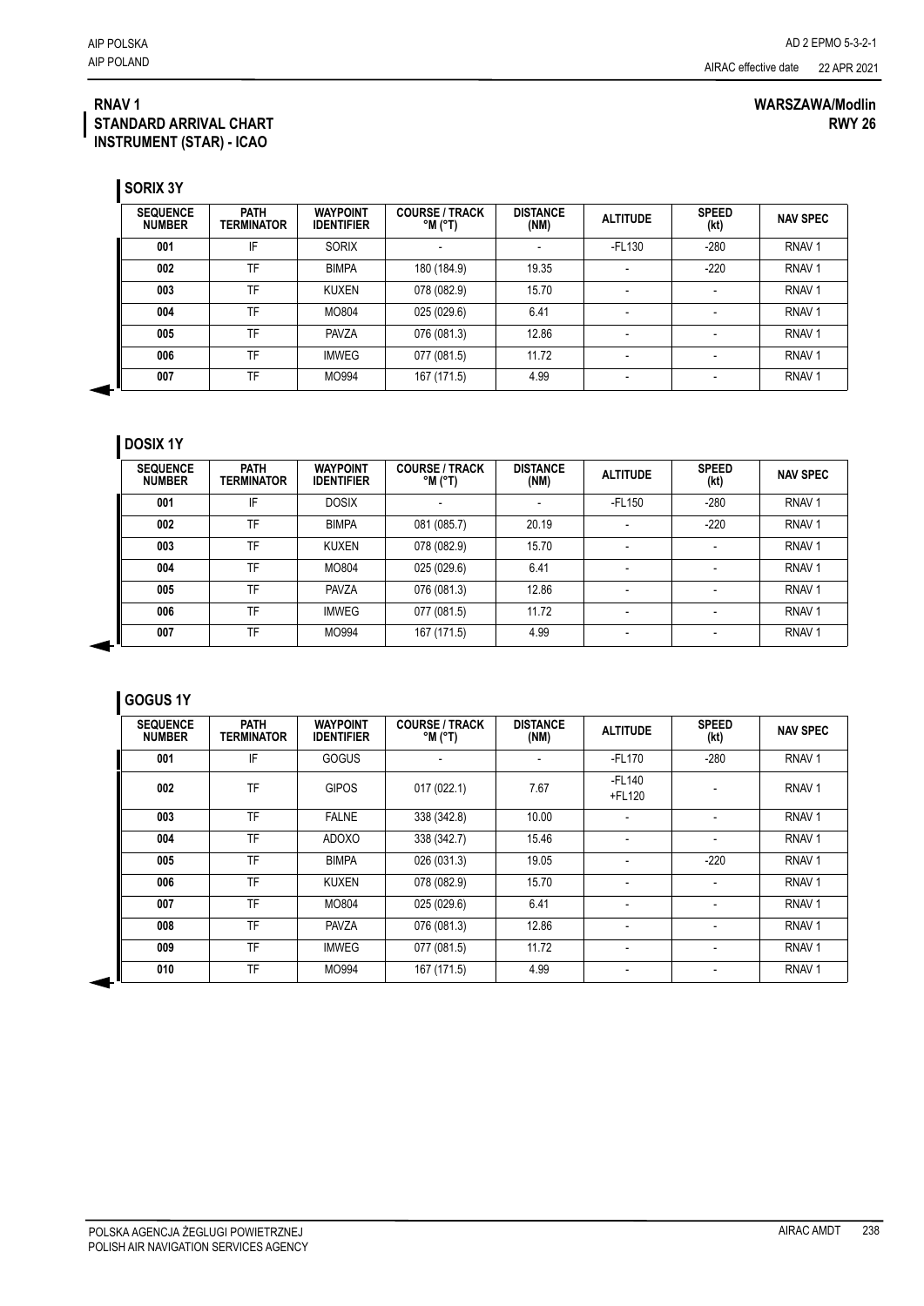#### **RNAV 1 STANDARD ARRIVAL CHART INSTRUMENT (STAR) - ICAO**

| <b>SEQUENCE</b><br><b>NUMBER</b> | <b>PATH</b><br>TERMINATOR | <b>WAYPOINT</b><br><b>IDENTIFIER</b> | <b>COURSE / TRACK</b><br>$^{\circ}$ M $^{\circ}$ T) | <b>DISTANCE</b><br>(NM) | <b>ALTITUDE</b>          | <b>SPEED</b><br>(kt) | <b>NAV SPEC</b>   |
|----------------------------------|---------------------------|--------------------------------------|-----------------------------------------------------|-------------------------|--------------------------|----------------------|-------------------|
| 001                              | IF                        | <b>SORIX</b>                         |                                                     |                         | -FL130                   | $-280$               | RNAV <sub>1</sub> |
| 002                              | TF                        | <b>BIMPA</b>                         | 180 (184.9)                                         | 19.35                   | -                        | $-220$               | RNAV <sub>1</sub> |
| 003                              | TF                        | KUXEN                                | 078 (082.9)                                         | 15.70                   | ۰                        |                      | RNAV <sub>1</sub> |
| 004                              | TF                        | MO804                                | 025 (029.6)                                         | 6.41                    | $\overline{\phantom{a}}$ |                      | RNAV <sub>1</sub> |
| 005                              | TF                        | <b>PAVZA</b>                         | 076 (081.3)                                         | 12.86                   | ۰                        |                      | RNAV <sub>1</sub> |
| 006                              | TF                        | <b>IMWEG</b>                         | 077 (081.5)                                         | 11.72                   |                          |                      | RNAV <sub>1</sub> |
| 007                              | TF                        | MO994                                | 167 (171.5)                                         | 4.99                    | $\overline{\phantom{a}}$ |                      | RNAV <sub>1</sub> |

### **DOSIX 1Y**

| <b>SEQUENCE</b><br><b>NUMBER</b> | <b>PATH</b><br><b>TERMINATOR</b> | <b>WAYPOINT</b><br><b>IDENTIFIER</b> | <b>COURSE / TRACK</b><br>°M (°T) | <b>DISTANCE</b><br>(NM)  | <b>ALTITUDE</b> | <b>SPEED</b><br>(kt) | <b>NAV SPEC</b>   |
|----------------------------------|----------------------------------|--------------------------------------|----------------------------------|--------------------------|-----------------|----------------------|-------------------|
| 001                              | IF                               | <b>DOSIX</b>                         | $\overline{\phantom{a}}$         | $\overline{\phantom{a}}$ | -FL150          | $-280$               | RNAV <sub>1</sub> |
| 002                              | TF                               | <b>BIMPA</b>                         | 081 (085.7)                      | 20.19                    | ۰               | $-220$               | RNAV <sub>1</sub> |
| 003                              | TF                               | <b>KUXEN</b>                         | 078 (082.9)                      | 15.70                    | ۰               |                      | RNAV <sub>1</sub> |
| 004                              | TF                               | MO804                                | 025 (029.6)                      | 6.41                     | ۰               |                      | RNAV <sub>1</sub> |
| 005                              | TF                               | <b>PAVZA</b>                         | 076 (081.3)                      | 12.86                    |                 |                      | RNAV <sub>1</sub> |
| 006                              | TF                               | <b>IMWEG</b>                         | 077 (081.5)                      | 11.72                    | ۰               |                      | RNAV <sub>1</sub> |
| 007                              | TF                               | MO994                                | 167 (171.5)                      | 4.99                     |                 |                      | RNAV <sub>1</sub> |

## **GOGUS 1Y**

| <b>SEQUENCE</b><br><b>NUMBER</b> | <b>PATH</b><br><b>TERMINATOR</b> | <b>WAYPOINT</b><br><b>IDENTIFIER</b> | <b>COURSE / TRACK</b><br>$^{\circ}$ M $^{\circ}$ T) | <b>DISTANCE</b><br>(NM) | <b>ALTITUDE</b>          | <b>SPEED</b><br>(kt)     | <b>NAV SPEC</b>   |
|----------------------------------|----------------------------------|--------------------------------------|-----------------------------------------------------|-------------------------|--------------------------|--------------------------|-------------------|
| 001                              | IF                               | <b>GOGUS</b>                         |                                                     |                         | $-FL170$                 | $-280$                   | RNAV <sub>1</sub> |
| 002                              | TF                               | <b>GIPOS</b>                         | 017 (022.1)                                         | 7.67                    | $-FL140$<br>+FL120       |                          | RNAV <sub>1</sub> |
| 003                              | TF                               | <b>FALNE</b>                         | 338 (342.8)                                         | 10.00                   | ٠                        | $\overline{\phantom{a}}$ | RNAV <sub>1</sub> |
| 004                              | TF                               | <b>ADOXO</b>                         | 338 (342.7)                                         | 15.46                   |                          |                          | RNAV <sub>1</sub> |
| 005                              | TF                               | <b>BIMPA</b>                         | 026 (031.3)                                         | 19.05                   |                          | $-220$                   | RNAV <sub>1</sub> |
| 006                              | TF                               | <b>KUXEN</b>                         | 078 (082.9)                                         | 15.70                   | ٠                        | $\overline{\phantom{a}}$ | RNAV <sub>1</sub> |
| 007                              | TF                               | MO804                                | 025 (029.6)                                         | 6.41                    | ٠                        | $\overline{\phantom{a}}$ | RNAV <sub>1</sub> |
| 008                              | TF                               | <b>PAVZA</b>                         | 076 (081.3)                                         | 12.86                   | $\overline{\phantom{0}}$ | $\overline{\phantom{a}}$ | RNAV <sub>1</sub> |
| 009                              | TF                               | <b>IMWEG</b>                         | 077 (081.5)                                         | 11.72                   | $\overline{\phantom{0}}$ | $\blacksquare$           | RNAV <sub>1</sub> |
| 010                              | <b>TF</b>                        | MO994                                | 167 (171.5)                                         | 4.99                    | $\overline{\phantom{0}}$ | $\overline{\phantom{a}}$ | RNAV <sub>1</sub> |

#### **WARSZAWA/Modlin RWY 26**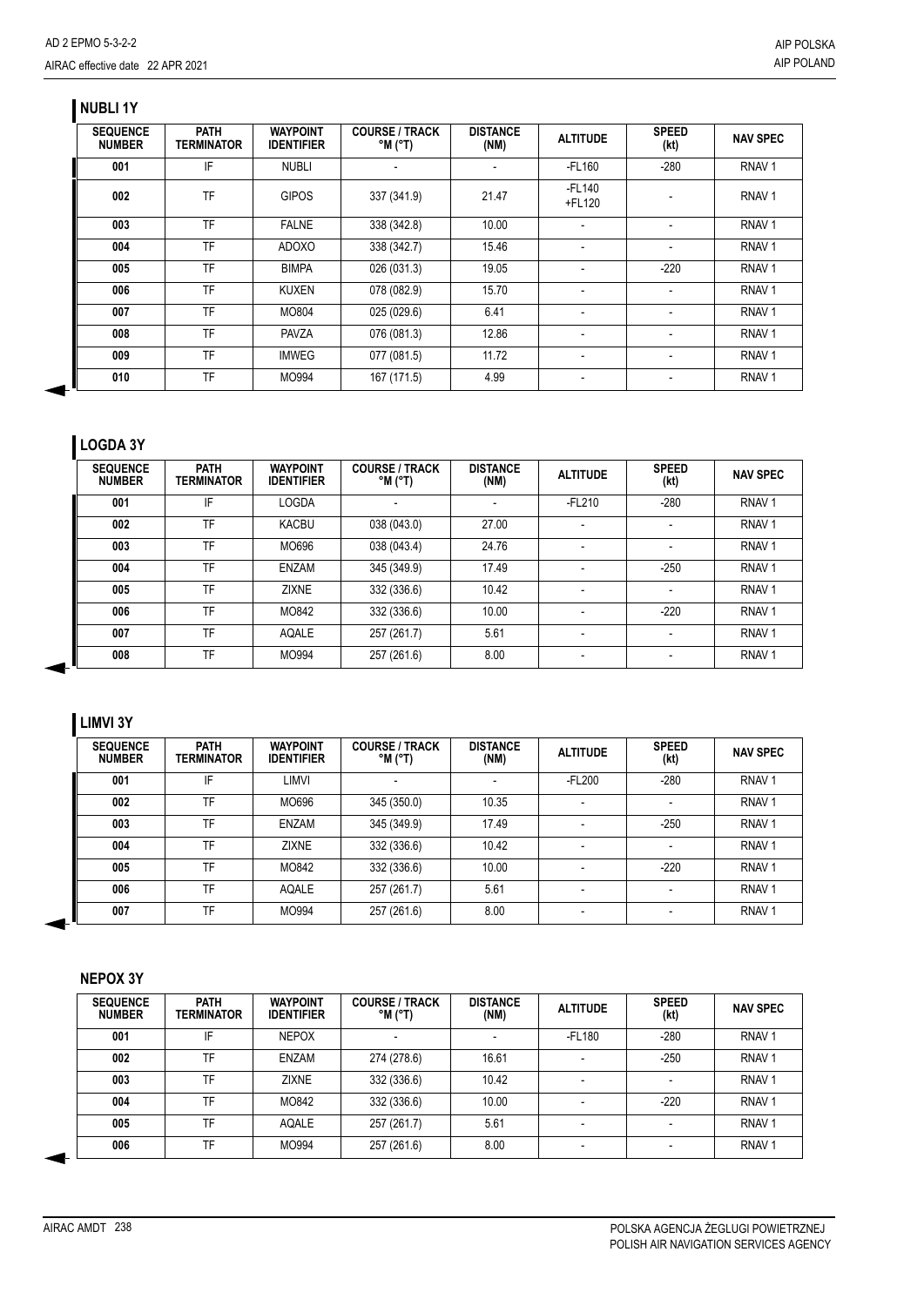### **NUBLI 1Y**

| <b>SEQUENCE</b><br><b>NUMBER</b> | <b>PATH</b><br><b>TERMINATOR</b> | <b>WAYPOINT</b><br><b>IDENTIFIER</b> | <b>COURSE / TRACK</b><br>$^{\circ}$ M ( $^{\circ}$ T) | <b>DISTANCE</b><br>(NM) | <b>ALTITUDE</b>          | <b>SPEED</b><br>(kt)     | <b>NAV SPEC</b>   |
|----------------------------------|----------------------------------|--------------------------------------|-------------------------------------------------------|-------------------------|--------------------------|--------------------------|-------------------|
| 001                              | IF                               | <b>NUBLI</b>                         | $\blacksquare$                                        |                         | $-FL160$                 | $-280$                   | RNAV <sub>1</sub> |
| 002                              | TF                               | <b>GIPOS</b>                         | 337 (341.9)                                           | 21.47                   | $-FL140$<br>+FL120       |                          | RNAV <sub>1</sub> |
| 003                              | <b>TF</b>                        | <b>FALNE</b>                         | 338 (342.8)                                           | 10.00                   | $\overline{\phantom{a}}$ |                          | RNAV <sub>1</sub> |
| 004                              | <b>TF</b>                        | <b>ADOXO</b>                         | 338 (342.7)                                           | 15.46                   | $\overline{\phantom{a}}$ |                          | RNAV <sub>1</sub> |
| 005                              | TF                               | <b>BIMPA</b>                         | 026 (031.3)                                           | 19.05                   | $\overline{\phantom{a}}$ | $-220$                   | RNAV <sub>1</sub> |
| 006                              | TF                               | <b>KUXEN</b>                         | 078 (082.9)                                           | 15.70                   | $\overline{\phantom{a}}$ | $\overline{\phantom{a}}$ | RNAV <sub>1</sub> |
| 007                              | TF                               | MO804                                | 025 (029.6)                                           | 6.41                    | $\overline{\phantom{a}}$ | $\overline{\phantom{a}}$ | RNAV <sub>1</sub> |
| 008                              | TF                               | <b>PAVZA</b>                         | 076 (081.3)                                           | 12.86                   | $\overline{\phantom{0}}$ |                          | RNAV <sub>1</sub> |
| 009                              | <b>TF</b>                        | <b>IMWEG</b>                         | 077 (081.5)                                           | 11.72                   | $\overline{\phantom{0}}$ |                          | RNAV <sub>1</sub> |
| 010                              | TF                               | MO994                                | 167 (171.5)                                           | 4.99                    |                          |                          | RNAV <sub>1</sub> |

# **LOGDA 3Y**

| <b>SEQUENCE</b><br><b>NUMBER</b> | <b>PATH</b><br>TERMINATOR | <b>WAYPOINT</b><br><b>IDENTIFIER</b> | <b>COURSE / TRACK</b><br>$^{\circ}$ M $^{\circ}$ T) | <b>DISTANCE</b><br>(NM) | <b>ALTITUDE</b>          | <b>SPEED</b><br>(kt) | <b>NAV SPEC</b>   |
|----------------------------------|---------------------------|--------------------------------------|-----------------------------------------------------|-------------------------|--------------------------|----------------------|-------------------|
| 001                              | IF                        | <b>LOGDA</b>                         | $\overline{\phantom{0}}$                            |                         | $-FL210$                 | $-280$               | RNAV <sub>1</sub> |
| 002                              | TF                        | <b>KACBU</b>                         | 038 (043.0)                                         | 27.00                   | $\overline{a}$           |                      | RNAV <sub>1</sub> |
| 003                              | TF                        | MO696                                | 038 (043.4)                                         | 24.76                   | $\blacksquare$           |                      | RNAV <sub>1</sub> |
| 004                              | TF                        | ENZAM                                | 345 (349.9)                                         | 17.49                   |                          | $-250$               | RNAV <sub>1</sub> |
| 005                              | TF                        | <b>ZIXNE</b>                         | 332 (336.6)                                         | 10.42                   | $\overline{\phantom{a}}$ |                      | RNAV <sub>1</sub> |
| 006                              | TF                        | MO842                                | 332 (336.6)                                         | 10.00                   | $\overline{\phantom{0}}$ | $-220$               | RNAV <sub>1</sub> |
| 007                              | TF                        | AQALE                                | 257 (261.7)                                         | 5.61                    |                          |                      | RNAV <sub>1</sub> |
| 008                              | TF                        | MO994                                | 257 (261.6)                                         | 8.00                    | $\blacksquare$           |                      | RNAV <sub>1</sub> |

## **LIMVI 3Y**

| <b>SEQUENCE</b><br><b>NUMBER</b> | <b>PATH</b><br><b>TERMINATOR</b> | <b>WAYPOINT</b><br><b>IDENTIFIER</b> | <b>COURSE / TRACK</b><br>$^{\circ}$ M $^{\circ}$ T) | <b>DISTANCE</b><br>(NM) | <b>ALTITUDE</b>          | <b>SPEED</b><br>(kt) | <b>NAV SPEC</b>   |
|----------------------------------|----------------------------------|--------------------------------------|-----------------------------------------------------|-------------------------|--------------------------|----------------------|-------------------|
| 001                              | IF                               | LIMVI                                |                                                     |                         | -FL200                   | $-280$               | RNAV <sub>1</sub> |
| 002                              | TF                               | MO696                                | 345 (350.0)                                         | 10.35                   |                          |                      | RNAV <sub>1</sub> |
| 003                              | TF                               | ENZAM                                | 345 (349.9)                                         | 17.49                   | $\overline{\phantom{0}}$ | $-250$               | RNAV <sub>1</sub> |
| 004                              | TF                               | <b>ZIXNE</b>                         | 332 (336.6)                                         | 10.42                   |                          |                      | RNAV <sub>1</sub> |
| 005                              | TF                               | MO842                                | 332 (336.6)                                         | 10.00                   |                          | $-220$               | RNAV <sub>1</sub> |
| 006                              | TF                               | AQALE                                | 257 (261.7)                                         | 5.61                    | $\overline{\phantom{a}}$ |                      | RNAV <sub>1</sub> |
| 007                              | TF                               | MO994                                | 257 (261.6)                                         | 8.00                    |                          |                      | RNAV <sub>1</sub> |

#### **NEPOX 3Y**

| <b>SEQUENCE</b><br><b>NUMBER</b> | <b>PATH</b><br><b>TERMINATOR</b> | <b>WAYPOINT</b><br><b>IDENTIFIER</b> | <b>COURSE / TRACK</b><br>$^{\circ}$ M $^{\circ}$ T) | <b>DISTANCE</b><br>(NM)  | <b>ALTITUDE</b>          | <b>SPEED</b><br>(kt) | <b>NAV SPEC</b>   |
|----------------------------------|----------------------------------|--------------------------------------|-----------------------------------------------------|--------------------------|--------------------------|----------------------|-------------------|
| 001                              | IF                               | <b>NEPOX</b>                         |                                                     | $\overline{\phantom{a}}$ | -FL180                   | $-280$               | RNAV <sub>1</sub> |
| 002                              | TF                               | ENZAM                                | 274 (278.6)                                         | 16.61                    | $\overline{\phantom{0}}$ | $-250$               | RNAV <sub>1</sub> |
| 003                              | TF                               | <b>ZIXNE</b>                         | 332 (336.6)                                         | 10.42                    | $\overline{\phantom{a}}$ |                      | RNAV <sub>1</sub> |
| 004                              | TF                               | MO842                                | 332 (336.6)                                         | 10.00                    | $\overline{\phantom{a}}$ | $-220$               | RNAV <sub>1</sub> |
| 005                              | TF                               | AQALE                                | 257 (261.7)                                         | 5.61                     | $\overline{\phantom{a}}$ |                      | RNAV <sub>1</sub> |
| 006                              | <b>TF</b>                        | MO994                                | 257 (261.6)                                         | 8.00                     | $\overline{\phantom{0}}$ |                      | RNAV <sub>1</sub> |